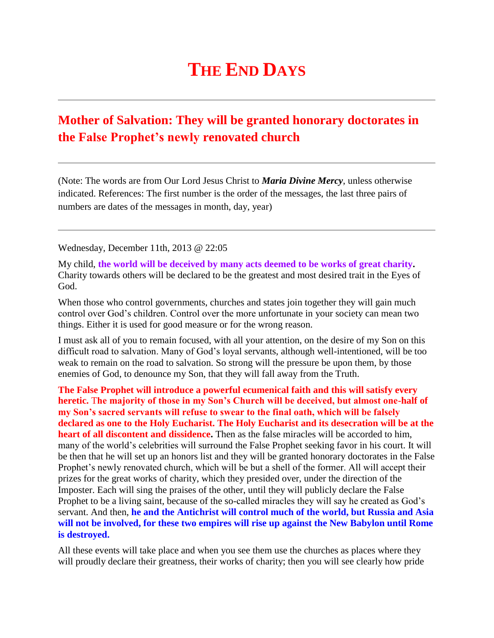## **THE END DAYS**

## **Mother of Salvation: They will be granted honorary doctorates in the False Prophet's newly renovated church**

(Note: The words are from Our Lord Jesus Christ to *Maria Divine Mercy*, unless otherwise indicated. References: The first number is the order of the messages, the last three pairs of numbers are dates of the messages in month, day, year)

Wednesday, December 11th, 2013 @ 22:05

My child, **the world will be deceived by many acts deemed to be works of great charity.** Charity towards others will be declared to be the greatest and most desired trait in the Eyes of God.

When those who control governments, churches and states join together they will gain much control over God's children. Control over the more unfortunate in your society can mean two things. Either it is used for good measure or for the wrong reason.

I must ask all of you to remain focused, with all your attention, on the desire of my Son on this difficult road to salvation. Many of God's loyal servants, although well-intentioned, will be too weak to remain on the road to salvation. So strong will the pressure be upon them, by those enemies of God, to denounce my Son, that they will fall away from the Truth.

**The False Prophet will introduce a powerful ecumenical faith and this will satisfy every heretic.** T**he majority of those in my Son's Church will be deceived, but almost one-half of my Son's sacred servants will refuse to swear to the final oath, which will be falsely declared as one to the Holy Eucharist. The Holy Eucharist and its desecration will be at the heart of all discontent and dissidence.** Then as the false miracles will be accorded to him, many of the world's celebrities will surround the False Prophet seeking favor in his court. It will be then that he will set up an honors list and they will be granted honorary doctorates in the False Prophet's newly renovated church, which will be but a shell of the former. All will accept their prizes for the great works of charity, which they presided over, under the direction of the Imposter. Each will sing the praises of the other, until they will publicly declare the False Prophet to be a living saint, because of the so-called miracles they will say he created as God's servant. And then, **he and the Antichrist will control much of the world, but Russia and Asia will not be involved, for these two empires will rise up against the New Babylon until Rome is destroyed.**

All these events will take place and when you see them use the churches as places where they will proudly declare their greatness, their works of charity; then you will see clearly how pride